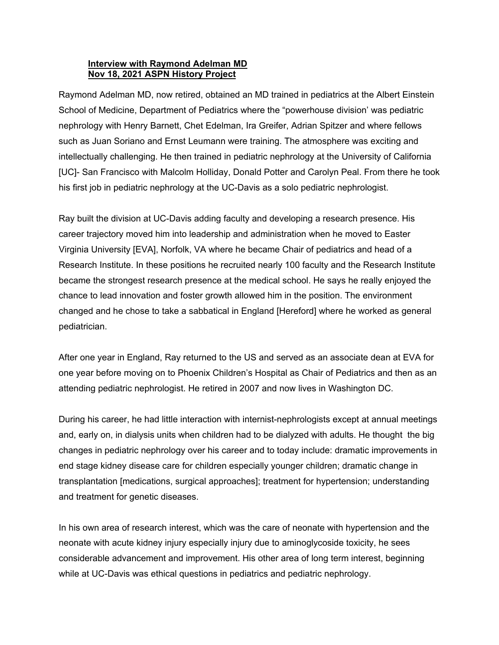## **Interview with Raymond Adelman MD Nov 18, 2021 ASPN History Project**

Raymond Adelman MD, now retired, obtained an MD trained in pediatrics at the Albert Einstein School of Medicine, Department of Pediatrics where the "powerhouse division' was pediatric nephrology with Henry Barnett, Chet Edelman, Ira Greifer, Adrian Spitzer and where fellows such as Juan Soriano and Ernst Leumann were training. The atmosphere was exciting and intellectually challenging. He then trained in pediatric nephrology at the University of California [UC]- San Francisco with Malcolm Holliday, Donald Potter and Carolyn Peal. From there he took his first job in pediatric nephrology at the UC-Davis as a solo pediatric nephrologist.

Ray built the division at UC-Davis adding faculty and developing a research presence. His career trajectory moved him into leadership and administration when he moved to Easter Virginia University [EVA], Norfolk, VA where he became Chair of pediatrics and head of a Research Institute. In these positions he recruited nearly 100 faculty and the Research Institute became the strongest research presence at the medical school. He says he really enjoyed the chance to lead innovation and foster growth allowed him in the position. The environment changed and he chose to take a sabbatical in England [Hereford] where he worked as general pediatrician.

After one year in England, Ray returned to the US and served as an associate dean at EVA for one year before moving on to Phoenix Children's Hospital as Chair of Pediatrics and then as an attending pediatric nephrologist. He retired in 2007 and now lives in Washington DC.

During his career, he had little interaction with internist-nephrologists except at annual meetings and, early on, in dialysis units when children had to be dialyzed with adults. He thought the big changes in pediatric nephrology over his career and to today include: dramatic improvements in end stage kidney disease care for children especially younger children; dramatic change in transplantation [medications, surgical approaches]; treatment for hypertension; understanding and treatment for genetic diseases.

In his own area of research interest, which was the care of neonate with hypertension and the neonate with acute kidney injury especially injury due to aminoglycoside toxicity, he sees considerable advancement and improvement. His other area of long term interest, beginning while at UC-Davis was ethical questions in pediatrics and pediatric nephrology.